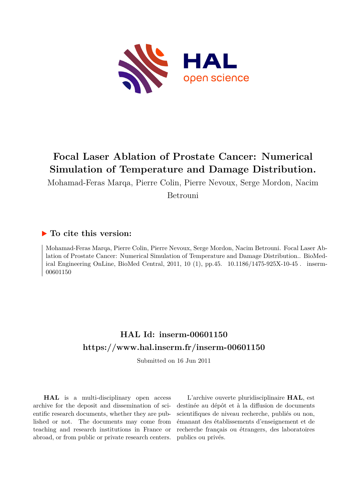

# **Focal Laser Ablation of Prostate Cancer: Numerical Simulation of Temperature and Damage Distribution.**

Mohamad-Feras Marqa, Pierre Colin, Pierre Nevoux, Serge Mordon, Nacim Betrouni

## **To cite this version:**

Mohamad-Feras Marqa, Pierre Colin, Pierre Nevoux, Serge Mordon, Nacim Betrouni. Focal Laser Ablation of Prostate Cancer: Numerical Simulation of Temperature and Damage Distribution.. BioMedical Engineering OnLine, BioMed Central, 2011, 10 (1), pp.45.  $10.1186/1475-925X-10-45$ . inserm-00601150

# **HAL Id: inserm-00601150 <https://www.hal.inserm.fr/inserm-00601150>**

Submitted on 16 Jun 2011

**HAL** is a multi-disciplinary open access archive for the deposit and dissemination of scientific research documents, whether they are published or not. The documents may come from teaching and research institutions in France or abroad, or from public or private research centers.

L'archive ouverte pluridisciplinaire **HAL**, est destinée au dépôt et à la diffusion de documents scientifiques de niveau recherche, publiés ou non, émanant des établissements d'enseignement et de recherche français ou étrangers, des laboratoires publics ou privés.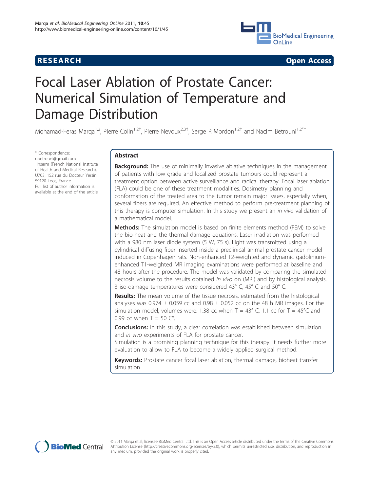

**RESEARCH CONSTRUCTION CONTROL** 

# Focal Laser Ablation of Prostate Cancer: Numerical Simulation of Temperature and Damage Distribution

Mohamad-Feras Marqa<sup>1,2</sup>, Pierre Colin<sup>1,2†</sup>, Pierre Nevoux<sup>2,3†</sup>, Serge R Mordon<sup>1,2†</sup> and Nacim Betrouni<sup>1,2\*†</sup>

\* Correspondence: [nbetrouni@gmail.com](mailto:nbetrouni@gmail.com) <sup>1</sup>Inserm (French National Institute of Health and Medical Research), U703, 152 rue du Docteur Yersin, 59120 Loos, France Full list of author information is available at the end of the article

### Abstract

**Background:** The use of minimally invasive ablative techniques in the management of patients with low grade and localized prostate tumours could represent a treatment option between active surveillance and radical therapy. Focal laser ablation (FLA) could be one of these treatment modalities. Dosimetry planning and conformation of the treated area to the tumor remain major issues, especially when, several fibers are required. An effective method to perform pre-treatment planning of this therapy is computer simulation. In this study we present an *in vivo* validation of a mathematical model.

**Methods:** The simulation model is based on finite elements method (FEM) to solve the bio-heat and the thermal damage equations. Laser irradiation was performed with a 980 nm laser diode system (5 W, 75 s). Light was transmitted using a cylindrical diffusing fiber inserted inside a preclinical animal prostate cancer model induced in Copenhagen rats. Non-enhanced T2-weighted and dynamic gadoliniumenhanced T1-weighted MR imaging examinations were performed at baseline and 48 hours after the procedure. The model was validated by comparing the simulated necrosis volume to the results obtained in vivo on (MRI) and by histological analysis. 3 iso-damage temperatures were considered 43° C, 45° C and 50° C.

Results: The mean volume of the tissue necrosis, estimated from the histological analyses was 0.974  $\pm$  0.059 cc and 0.98  $\pm$  0.052 cc on the 48 h MR images. For the simulation model, volumes were: 1.38 cc when  $T = 43^{\circ}$  C, 1.1 cc for  $T = 45^{\circ}$ C and 0.99 cc when  $T = 50$   $C^{\circ}$ .

**Conclusions:** In this study, a clear correlation was established between simulation and in vivo experiments of FLA for prostate cancer.

Simulation is a promising planning technique for this therapy. It needs further more evaluation to allow to FLA to become a widely applied surgical method.

Keywords: Prostate cancer focal laser ablation, thermal damage, bioheat transfer simulation



© 2011 Marqa et al; licensee BioMed Central Ltd. This is an Open Access article distributed under the terms of the Creative Commons Attribution License [\(http://creativecommons.org/licenses/by/2.0](http://creativecommons.org/licenses/by/2.0)), which permits unrestricted use, distribution, and reproduction in any medium, provided the original work is properly cited.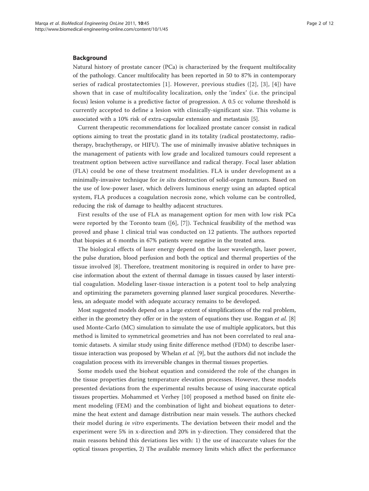#### Background

Natural history of prostate cancer (PCa) is characterized by the frequent multifocality of the pathology. Cancer multifocality has been reported in 50 to 87% in contemporary series of radical prostatectomies [1]. However, previous studies ([2], [3], [4]) have shown that in case of multifocality localization, only the 'index' (i.e. the principal focus) lesion volume is a predictive factor of progression. A 0.5 cc volume threshold is currently accepted to define a lesion with clinically-significant size. This volume is associated with a 10% risk of extra-capsular extension and metastasis [5].

Current therapeutic recommendations for localized prostate cancer consist in radical options aiming to treat the prostatic gland in its totality (radical prostatectomy, radiotherapy, brachytherapy, or HIFU). The use of minimally invasive ablative techniques in the management of patients with low grade and localized tumours could represent a treatment option between active surveillance and radical therapy. Focal laser ablation (FLA) could be one of these treatment modalities. FLA is under development as a minimally-invasive technique for *in situ* destruction of solid-organ tumours. Based on the use of low-power laser, which delivers luminous energy using an adapted optical system, FLA produces a coagulation necrosis zone, which volume can be controlled, reducing the risk of damage to healthy adjacent structures.

First results of the use of FLA as management option for men with low risk PCa were reported by the Toronto team  $([6], [7])$ . Technical feasibility of the method was proved and phase 1 clinical trial was conducted on 12 patients. The authors reported that biopsies at 6 months in 67% patients were negative in the treated area.

The biological effects of laser energy depend on the laser wavelength, laser power, the pulse duration, blood perfusion and both the optical and thermal properties of the tissue involved [8]. Therefore, treatment monitoring is required in order to have precise information about the extent of thermal damage in tissues caused by laser interstitial coagulation. Modeling laser-tissue interaction is a potent tool to help analyzing and optimizing the parameters governing planned laser surgical procedures. Nevertheless, an adequate model with adequate accuracy remains to be developed.

Most suggested models depend on a large extent of simplifications of the real problem, either in the geometry they offer or in the system of equations they use. Roggan *et al.* [8] used Monte-Carlo (MC) simulation to simulate the use of multiple applicators, but this method is limited to symmetrical geometries and has not been correlated to real anatomic datasets. A similar study using finite difference method (FDM) to describe lasertissue interaction was proposed by Whelan et al. [9], but the authors did not include the coagulation process with its irreversible changes in thermal tissues properties.

Some models used the bioheat equation and considered the role of the changes in the tissue properties during temperature elevation processes. However, these models presented deviations from the experimental results because of using inaccurate optical tissues properties. Mohammed et Verhey [10] proposed a method based on finite element modeling (FEM) and the combination of light and bioheat equations to determine the heat extent and damage distribution near main vessels. The authors checked their model during in vitro experiments. The deviation between their model and the experiment were 5% in x-direction and 20% in y-direction. They considered that the main reasons behind this deviations lies with: 1) the use of inaccurate values for the optical tissues properties, 2) The available memory limits which affect the performance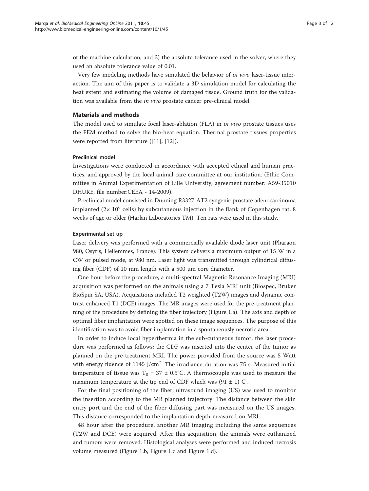of the machine calculation, and 3) the absolute tolerance used in the solver, where they used an absolute tolerance value of 0.01.

Very few modeling methods have simulated the behavior of in vivo laser-tissue interaction. The aim of this paper is to validate a 3D simulation model for calculating the heat extent and estimating the volume of damaged tissue. Ground truth for the validation was available from the in vivo prostate cancer pre-clinical model.

#### Materials and methods

The model used to simulate focal laser-ablation (FLA) in in vivo prostate tissues uses the FEM method to solve the bio-heat equation. Thermal prostate tissues properties were reported from literature ([11], [12]).

#### Preclinical model

Investigations were conducted in accordance with accepted ethical and human practices, and approved by the local animal care committee at our institution. (Ethic Committee in Animal Experimentation of Lille University; agreement number: A59-35010 DHURE, file number:CEEA - 14-2009).

Preclinical model consisted in Dunning R3327-AT2 syngenic prostate adenocarcinoma implanted ( $2 \times 10^6$  cells) by subcutaneous injection in the flank of Copenhagen rat, 8 weeks of age or older (Harlan Laboratories TM). Ten rats were used in this study.

#### Experimental set up

Laser delivery was performed with a commercially available diode laser unit (Pharaon 980, Osyris, Hellemmes, France). This system delivers a maximum output of 15 W in a CW or pulsed mode, at 980 nm. Laser light was transmitted through cylindrical diffusing fiber (CDF) of 10 mm length with a 500 μm core diameter.

One hour before the procedure, a multi-spectral Magnetic Resonance Imaging (MRI) acquisition was performed on the animals using a 7 Tesla MRI unit (Biospec, Bruker BioSpin SA, USA). Acquisitions included T2 weighted (T2W) images and dynamic contrast enhanced T1 (DCE) images. The MR images were used for the pre-treatment planning of the procedure by defining the fiber trajectory (Figure 1.a). The axis and depth of optimal fiber implantation were spotted on these image sequences. The purpose of this identification was to avoid fiber implantation in a spontaneously necrotic area.

In order to induce local hyperthermia in the sub-cutaneous tumor, the laser procedure was performed as follows: the CDF was inserted into the center of the tumor as planned on the pre-treatment MRI. The power provided from the source was 5 Watt with energy fluence of  $1145$  J/cm<sup>2</sup>. The irradiance duration was 75 s. Measured initial temperature of tissue was  $T_0 = 37 \pm 0.5$ °C. A thermocouple was used to measure the maximum temperature at the tip end of CDF which was  $(91 \pm 1)$  C°.

For the final positioning of the fiber, ultrasound imaging (US) was used to monitor the insertion according to the MR planned trajectory. The distance between the skin entry port and the end of the fiber diffusing part was measured on the US images. This distance corresponded to the implantation depth measured on MRI.

48 hour after the procedure, another MR imaging including the same sequences (T2W and DCE) were acquired. After this acquisition, the animals were euthanized and tumors were removed. Histological analyses were performed and induced necrosis volume measured (Figure 1.b, Figure 1.c and Figure 1.d).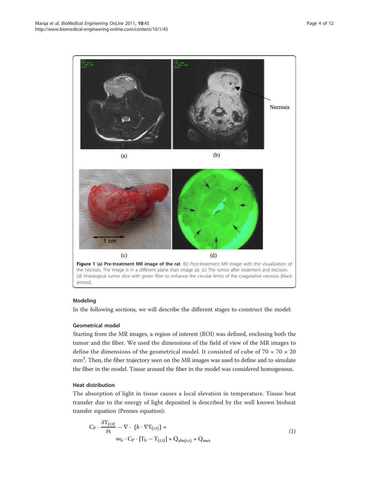

#### Modeling

In the following sections, we will describe the different stages to construct the model:

#### Geometrical model

Starting from the MR images, a region of interest (ROI) was defined, enclosing both the tumor and the fiber. We used the dimensions of the field of view of the MR images to define the dimensions of the geometrical model. It consisted of cube of  $70 \times 70 \times 20$ mm<sup>3</sup>. Then, the fiber trajectory seen on the MR images was used to define and to simulate the fiber in the model. Tissue around the fiber in the model was considered homogenous.

#### Heat distribution

The absorption of light in tissue causes a local elevation in temperature. Tissue heat transfer due to the energy of light deposited is described by the well known bioheat transfer equation (Pennes equation):

$$
C_{P} \cdot \frac{\partial T_{(r,t)}}{\partial t} - \nabla \cdot (k \cdot \nabla T_{(r,t)}) =
$$
  
\n
$$
w_{b} \cdot C_{P} \cdot [T_{b} - T_{(r,t)}] + Q_{abs(r,t)} + Q_{met}
$$
\n(1)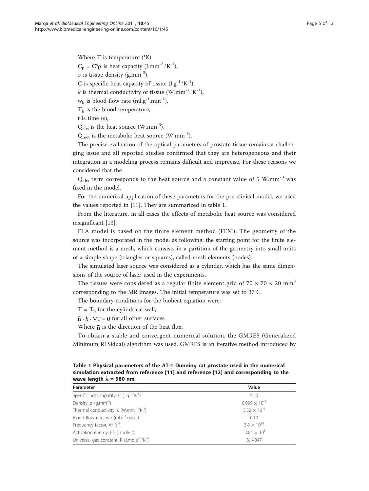Where T is temperature (°K)  $C_p = C^* \rho$  is heat capacity (J.mm<sup>-3</sup>.°K<sup>-1</sup>),  $\rho$  is tissue density (g.mm<sup>-3</sup>), C is specific heat capacity of tissue  $(I.g^{-1}.{}^{\circ}K^{-1})$ , k is thermal conductivity of tissue (W.mm<sup>-1</sup>.°K<sup>-1</sup>),  $w<sub>b</sub>$  is blood flow rate (ml.g<sup>-1</sup>.min<sup>-1</sup>),  $T<sub>b</sub>$  is the blood temperature, t is time (s),

 $Q_{\text{abs}}$  is the heat source (W.mm<sup>-3</sup>),

 $Q_{\text{met}}$  is the metabolic heat source (W.mm<sup>-3</sup>).

The precise evaluation of the optical parameters of prostate tissue remains a challenging issue and all reported studies confirmed that they are heterogeneous and their integration in a modeling process remains difficult and imprecise. For these reasons we considered that the

 $Q<sub>abs</sub>$  term corresponds to the heat source and a constant value of 5 W.mm<sup>-3</sup> was fixed in the model.

For the numerical application of these parameters for the pre-clinical model, we used the values reported in [11]. They are summarized in table 1.

From the literature, in all cases the effects of metabolic heat source was considered insignificant [13].

FLA model is based on the finite element method (FEM). The geometry of the source was incorporated in the model as following: the starting point for the finite element method is a mesh, which consists in a partition of the geometry into small units of a simple shape (triangles or squares), called mesh elements (nodes).

The simulated laser source was considered as a cylinder, which has the same dimensions of the source of laser used in the experiments.

The tissues were considered as a regular finite element grid of 70  $\times$  70  $\times$  20 mm<sup>3</sup> corresponding to the MR images. The initial temperature was set to 37°C.

The boundary conditions for the bioheat equation were:

 $T=T_b$  for the cylindrical wall,

 $\vec{n} \cdot \vec{k} \cdot \nabla T = 0$  for all other surfaces.

Where  $\vec{n}$  is the direction of the heat flux.

To obtain a stable and convergent numerical solution, the GMRES (Generalized Minimum RESidual) algorithm was used. GMRES is an iterative method introduced by

| wave religion $\lambda$ = 500 mm                                  |                        |  |
|-------------------------------------------------------------------|------------------------|--|
| Parameter                                                         | Value                  |  |
| Specific heat capacity, $C(J.g^{-1}.{}^{\circ}K^{-1})$            | 4.20                   |  |
| Density, $\rho$ (g.mm <sup>-3</sup> )                             | $0.999 \times 10^{-3}$ |  |
| Thermal conductivity, $k$ (W.mm <sup>-1</sup> .°K <sup>-1</sup> ) | $5.52 \times 10^{-4}$  |  |
| Blood flow rate, wb $(ml.g^{-1}.min^{-1})$                        | 0.10                   |  |
| Frequency factor, Af $(s^{-1})$                                   | $3.8 \times 10^{14}$   |  |
| Activation energy, Ea (J.mole <sup>-1</sup> )                     | $1.084 \times 10^{5}$  |  |
| Universal gas constant, R $(J.mole^{-1}.{}^{\circ}K^{-1})$        | 3.14847                |  |
|                                                                   |                        |  |

Table 1 Physical parameters of the AT-1 Dunning rat prostate used in the numerical simulation extracted from reference [11] and reference [12] and corresponding to the wave length  $\lambda = 980$  nm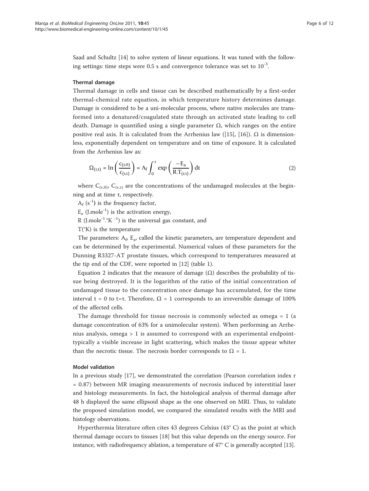Saad and Schultz [14] to solve system of linear equations. It was tuned with the following settings: time steps were 0.5 s and convergence tolerance was set to  $10^{-3}$ .

#### Thermal damage

Thermal damage in cells and tissue can be described mathematically by a first-order thermal-chemical rate equation, in which temperature history determines damage. Damage is considered to be a uni-molecular process, where native molecules are transformed into a denatured/coagulated state through an activated state leading to cell death. Damage is quantified using a single parameter  $Ω$ , which ranges on the entire positive real axis. It is calculated from the Arrhenius law ([15], [16]).  $\Omega$  is dimensionless, exponentially dependent on temperature and on time of exposure. It is calculated from the Arrhenius law as:

$$
\Omega_{(r,t)} = \ln\left(\frac{c_{(r,0)}}{c_{(r,t)}}\right) = A_f \int_0^{\tau} \exp\left(\frac{-E_a}{R.T_{(r,t)}}\right) dt
$$
\n(2)

where  $C_{(r,0)}$ ,  $C_{(r,\tau)}$  are the concentrations of the undamaged molecules at the beginning and at time τ, respectively.

 $A_f$  (s<sup>-1</sup>) is the frequency factor,

 $E_a$  (J.mole<sup>-1</sup>) is the activation energy,

R (J.mole<sup>-1</sup>.°K  $^{-1}$ ) is the universal gas constant, and

 $T(^{\circ}K)$  is the temperature

The parameters:  $A_f$ ,  $E_a$ , called the kinetic parameters, are temperature dependent and can be determined by the experimental. Numerical values of these parameters for the Dunning R3327-AT prostate tissues, which correspond to temperatures measured at the tip end of the CDF, were reported in [12] (table 1).

Equation 2 indicates that the measure of damage  $(Ω)$  describes the probability of tissue being destroyed. It is the logarithm of the ratio of the initial concentration of undamaged tissue to the concentration once damage has accumulated, for the time interval t = 0 to t=τ. Therefore,  $\Omega$  = 1 corresponds to an irreversible damage of 100% of the affected cells.

The damage threshold for tissue necrosis is commonly selected as omega  $= 1$  (a damage concentration of 63% for a unimolecular system). When performing an Arrhenius analysis, omega > 1 is assumed to correspond with an experimental endpointtypically a visible increase in light scattering, which makes the tissue appear whiter than the necrotic tissue. The necrosis border corresponds to  $\Omega = 1$ .

#### Model validation

In a previous study [17], we demonstrated the correlation (Pearson correlation index r = 0.87) between MR imaging measurements of necrosis induced by interstitial laser and histology measurements. In fact, the histological analysis of thermal damage after 48 h displayed the same ellipsoid shape as the one observed on MRI. Thus, to validate the proposed simulation model, we compared the simulated results with the MRI and histology observations.

Hyperthermia literature often cites 43 degrees Celsius (43° C) as the point at which thermal damage occurs to tissues [18] but this value depends on the energy source. For instance, with radiofrequency ablation, a temperature of  $47^{\circ}$  C is generally accepted [13].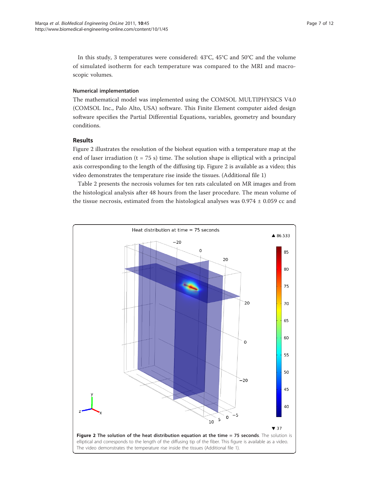In this study, 3 temperatures were considered: 43°C, 45°C and 50°C and the volume of simulated isotherm for each temperature was compared to the MRI and macroscopic volumes.

#### Numerical implementation

The mathematical model was implemented using the COMSOL MULTIPHYSICS V4.0 (COMSOL Inc., Palo Alto, USA) software. This Finite Element computer aided design software specifies the Partial Differential Equations, variables, geometry and boundary conditions.

#### Results

Figure 2 illustrates the resolution of the bioheat equation with a temperature map at the end of laser irradiation ( $t = 75$  s) time. The solution shape is elliptical with a principal axis corresponding to the length of the diffusing tip. Figure 2 is available as a video; this video demonstrates the temperature rise inside the tissues. (Additional file 1)

Table 2 presents the necrosis volumes for ten rats calculated on MR images and from the histological analysis after 48 hours from the laser procedure. The mean volume of the tissue necrosis, estimated from the histological analyses was  $0.974 \pm 0.059$  cc and

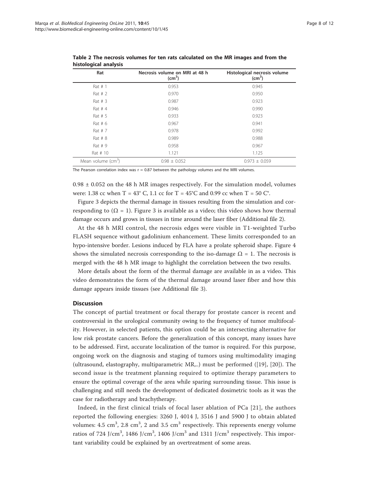| Rat                            | Necrosis volume on MRI at 48 h<br>$\text{(cm}^3)$ | Histological necrosis volume<br>(cm <sup>3</sup> ) |
|--------------------------------|---------------------------------------------------|----------------------------------------------------|
| Rat $# 1$                      | 0.953                                             | 0.945                                              |
| Rat $# 2$                      | 0.970                                             | 0.950                                              |
| Rat $# 3$                      | 0.987                                             | 0.923                                              |
| Rat $# 4$                      | 0.946                                             | 0.990                                              |
| Rat # 5                        | 0.933                                             | 0.923                                              |
| Rat $# 6$                      | 0.967                                             | 0.941                                              |
| Rat # 7                        | 0.978                                             | 0.992                                              |
| Rat # 8                        | 0.989                                             | 0.988                                              |
| Rat # 9                        | 0.958                                             | 0.967                                              |
| Rat # 10                       | 1.121                                             | 1.125                                              |
| Mean volume (cm <sup>3</sup> ) | $0.98 \pm 0.052$                                  | $0.973 \pm 0.059$                                  |

Table 2 The necrosis volumes for ten rats calculated on the MR images and from the histological analysis

The Pearson correlation index was  $r = 0.87$  between the pathology volumes and the MRI volumes.

 $0.98 \pm 0.052$  on the 48 h MR images respectively. For the simulation model, volumes were: 1.38 cc when T =  $43^{\circ}$  C, 1.1 cc for T =  $45^{\circ}$ C and 0.99 cc when T =  $50^{\circ}$ .

Figure 3 depicts the thermal damage in tissues resulting from the simulation and corresponding to  $(\Omega = 1)$ . Figure 3 is available as a video; this video shows how thermal damage occurs and grows in tissues in time around the laser fiber (Additional file 2).

At the 48 h MRI control, the necrosis edges were visible in T1-weighted Turbo FLASH sequence without gadolinium enhancement. These limits corresponded to an hypo-intensive border. Lesions induced by FLA have a prolate spheroid shape. Figure 4 shows the simulated necrosis corresponding to the iso-damage  $\Omega = 1$ . The necrosis is merged with the 48 h MR image to highlight the correlation between the two results.

More details about the form of the thermal damage are available in as a video. This video demonstrates the form of the thermal damage around laser fiber and how this damage appears inside tissues (see Additional file 3).

#### **Discussion**

The concept of partial treatment or focal therapy for prostate cancer is recent and controversial in the urological community owing to the frequency of tumor multifocality. However, in selected patients, this option could be an intersecting alternative for low risk prostate cancers. Before the generalization of this concept, many issues have to be addressed. First, accurate localization of the tumor is required. For this purpose, ongoing work on the diagnosis and staging of tumors using multimodality imaging (ultrasound, elastography, multiparametric MR,..) must be performed ([19], [20]). The second issue is the treatment planning required to optimize therapy parameters to ensure the optimal coverage of the area while sparing surrounding tissue. This issue is challenging and still needs the development of dedicated dosimetric tools as it was the case for radiotherapy and brachytherapy.

Indeed, in the first clinical trials of focal laser ablation of PCa [21], the authors reported the following energies: 3260 J, 4014 J, 3516 J and 5900 J to obtain ablated volumes:  $4.5\,$  cm $^3$ ,  $2.8\,$  cm $^3$ ,  $2\,$  and  $3.5\,$  cm $^3$  respectively. This represents energy volume ratios of 724 J/cm<sup>3</sup>, 1486 J/cm<sup>3</sup>, 1406 J/cm<sup>3</sup> and 1311 J/cm<sup>3</sup> respectively. This important variability could be explained by an overtreatment of some areas.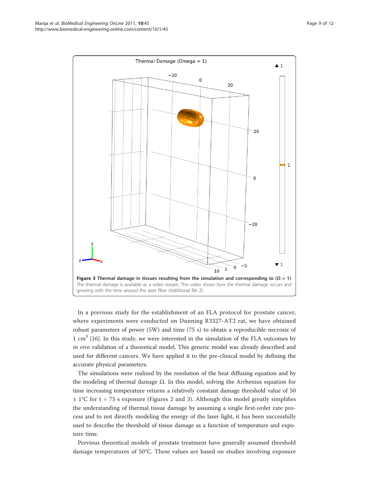

In a previous study for the establishment of an FLA protocol for prostate cancer, where experiments were conducted on Dunning R3327-AT2 rat, we have obtained robust parameters of power (5W) and time (75 s) to obtain a reproducible necrosis of 1 cm<sup>3</sup> [16]. In this study, we were interested in the simulation of the FLA outcomes by in vivo validation of a theoretical model. This generic model was already described and used for different cancers. We have applied it to the pre-clinical model by defining the accurate physical parameters.

The simulations were realized by the resolution of the heat diffusing equation and by the modeling of thermal damage  $\Omega$ . In this model, solving the Arrhenius equation for time increasing temperature returns a relatively constant damage threshold value of 50  $\pm$  1°C for t = 75 s exposure (Figures 2 and 3). Although this model greatly simplifies the understanding of thermal tissue damage by assuming a single first-order rate process and to not directly modeling the energy of the laser light, it has been successfully used to describe the threshold of tissue damage as a function of temperature and exposure time.

Previous theoretical models of prostate treatment have generally assumed threshold damage temperatures of 50°C. These values are based on studies involving exposure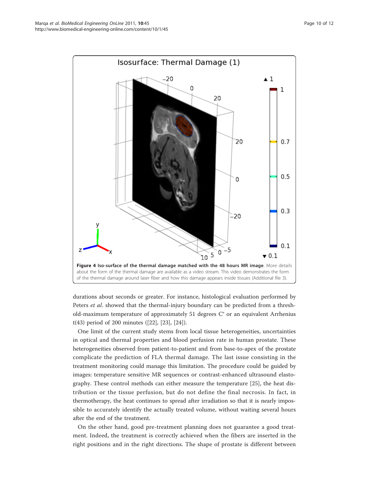

durations about seconds or greater. For instance, histological evaluation performed by Peters et al. showed that the thermal-injury boundary can be predicted from a threshold-maximum temperature of approximately 51 degrees C° or an equivalent Arrhenius t(43) period of 200 minutes ([22], [23], [24]).

One limit of the current study stems from local tissue heterogeneities, uncertainties in optical and thermal properties and blood perfusion rate in human prostate. These heterogeneities observed from patient-to-patient and from base-to-apex of the prostate complicate the prediction of FLA thermal damage. The last issue consisting in the treatment monitoring could manage this limitation. The procedure could be guided by images: temperature sensitive MR sequences or contrast-enhanced ultrasound elastography. These control methods can either measure the temperature [25], the heat distribution or the tissue perfusion, but do not define the final necrosis. In fact, in thermotherapy, the heat continues to spread after irradiation so that it is nearly impossible to accurately identify the actually treated volume, without waiting several hours after the end of the treatment.

On the other hand, good pre-treatment planning does not guarantee a good treatment. Indeed, the treatment is correctly achieved when the fibers are inserted in the right positions and in the right directions. The shape of prostate is different between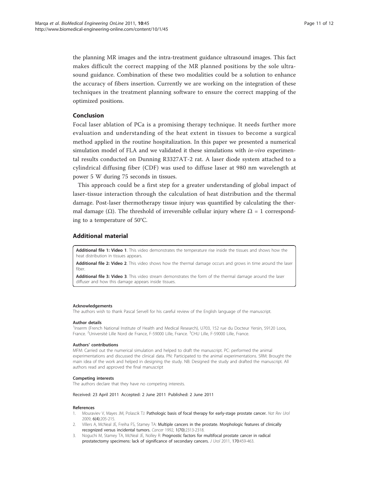the planning MR images and the intra-treatment guidance ultrasound images. This fact makes difficult the correct mapping of the MR planned positions by the sole ultrasound guidance. Combination of these two modalities could be a solution to enhance the accuracy of fibers insertion. Currently we are working on the integration of these techniques in the treatment planning software to ensure the correct mapping of the optimized positions.

#### Conclusion

Focal laser ablation of PCa is a promising therapy technique. It needs further more evaluation and understanding of the heat extent in tissues to become a surgical method applied in the routine hospitalization. In this paper we presented a numerical simulation model of FLA and we validated it these simulations with  $in$ -vivo experimental results conducted on Dunning R3327AT-2 rat. A laser diode system attached to a cylindrical diffusing fiber (CDF) was used to diffuse laser at 980 nm wavelength at power 5 W during 75 seconds in tissues.

This approach could be a first step for a greater understanding of global impact of laser-tissue interaction through the calculation of heat distribution and the thermal damage. Post-laser thermotherapy tissue injury was quantified by calculating the thermal damage ( $\Omega$ ). The threshold of irreversible cellular injury where  $\Omega = 1$  corresponding to a temperature of 50°C.

#### Additional material

[Additional file 1: V](http://www.biomedcentral.com/content/supplementary/1475-925X-10-45-S1.GIF)ideo 1. This video demonstrates the temperature rise inside the tissues and shows how the heat distribution in tissues appears.

[Additional file 2:](http://www.biomedcentral.com/content/supplementary/1475-925X-10-45-S2.GIF) Video 2. This video shows how the thermal damage occurs and grows in time around the laser fiber.

[Additional file 3: V](http://www.biomedcentral.com/content/supplementary/1475-925X-10-45-S3.AVI)ideo 3. This video stream demonstrates the form of the thermal damage around the laser diffuser and how this damage appears inside tissues.

#### Acknowledgements

The authors wish to thank Pascal Servell for his careful review of the English language of the manuscript.

#### Author details

<sup>1</sup>Inserm (French National Institute of Health and Medical Research), U703, 152 rue du Docteur Yersin, 59120 Loos, France. <sup>2</sup>Université Lille Nord de France, F-59000 Lille, France. <sup>3</sup>CHU Lille, F-59000 Lille, France.

#### Authors' contributions

MFM: Carried out the numerical simulation and helped to draft the manuscript. PC: performed the animal experimentations and discussed the clinical data. PN: Participated to the animal experimentations. SRM: Brought the main idea of the work and helped in designing the study. NB: Designed the study and drafted the manuscript. All authors read and approved the final manuscript

#### Competing interests

The authors declare that they have no competing interests.

#### Received: 23 April 2011 Accepted: 2 June 2011 Published: 2 June 2011

#### References

- 1. Mouraviev V, Mayes JM, Polascik TJ: [Pathologic basis of focal therapy for early-stage prostate cancer.](http://www.ncbi.nlm.nih.gov/pubmed/19352395?dopt=Abstract) Nat Rev Urol 2009, 6(4):205-215.
- 2. Villers A, McNeal JE, Freiha FS, Stamey TA: Multiple cancers in the prostate. Morphologic features of clinically recognized versus incidental tumors. Cancer 1992, 1(70):2313-2318.
- 3. Noguchi M, Stamey TA, McNeal JE, Nolley R: Prognostic factors for multifocal prostate cancer in radical prostatectomy specimens: lack of significance of secondary cancers. J Urol 2011, 170:459-463.